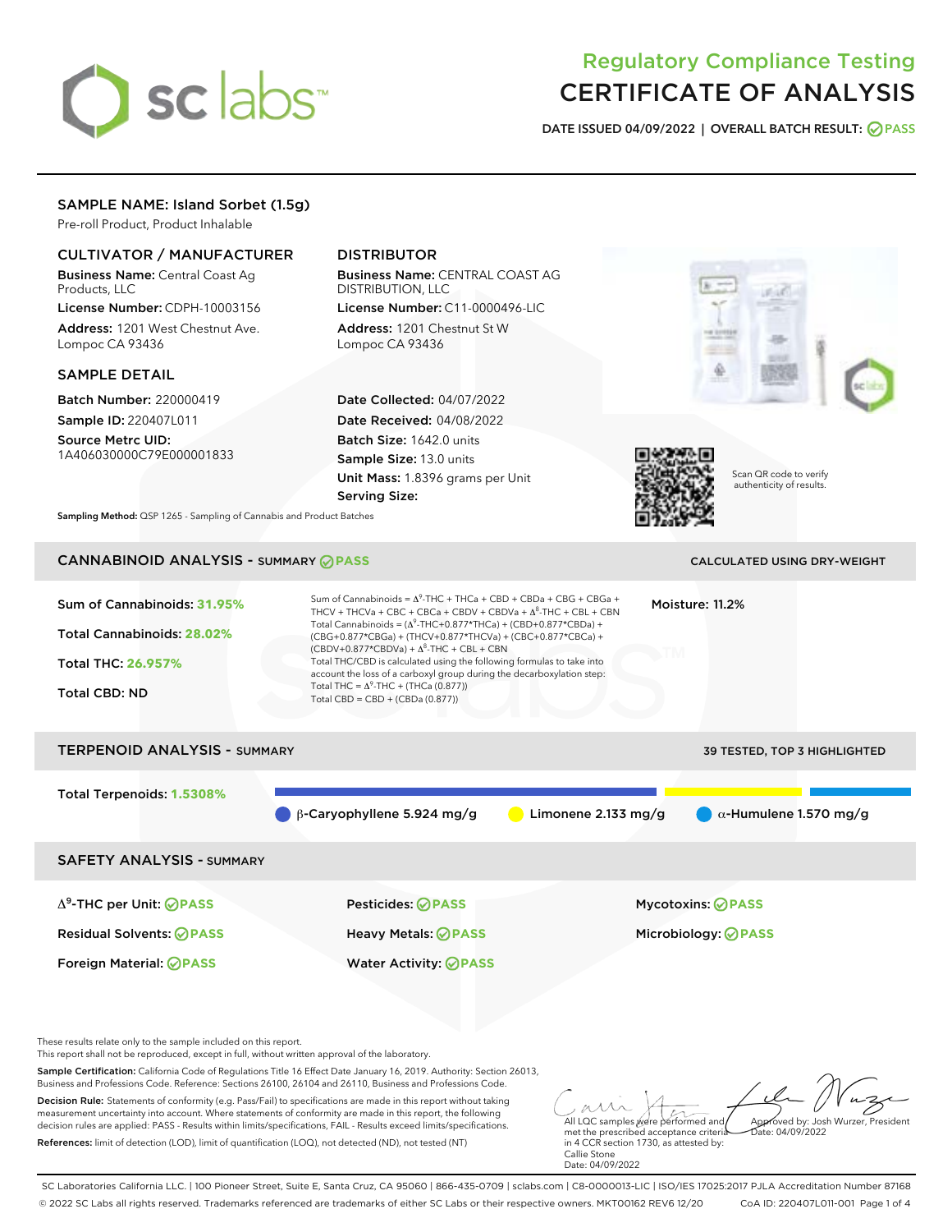# sclabs<sup>\*</sup>

# Regulatory Compliance Testing CERTIFICATE OF ANALYSIS

DATE ISSUED 04/09/2022 | OVERALL BATCH RESULT: @ PASS

# SAMPLE NAME: Island Sorbet (1.5g)

Pre-roll Product, Product Inhalable

# CULTIVATOR / MANUFACTURER

Business Name: Central Coast Ag Products, LLC

License Number: CDPH-10003156 Address: 1201 West Chestnut Ave. Lompoc CA 93436

#### SAMPLE DETAIL

Batch Number: 220000419 Sample ID: 220407L011

Source Metrc UID: 1A406030000C79E000001833

# DISTRIBUTOR

Business Name: CENTRAL COAST AG DISTRIBUTION, LLC License Number: C11-0000496-LIC

Address: 1201 Chestnut St W Lompoc CA 93436

Date Collected: 04/07/2022 Date Received: 04/08/2022 Batch Size: 1642.0 units Sample Size: 13.0 units Unit Mass: 1.8396 grams per Unit Serving Size:





Scan QR code to verify authenticity of results.

Sampling Method: QSP 1265 - Sampling of Cannabis and Product Batches

# CANNABINOID ANALYSIS - SUMMARY **PASS** CALCULATED USING DRY-WEIGHT

| Sum of Cannabinoids: 31.95%<br>Total Cannabinoids: 28.02%<br>Total THC: 26.957%<br><b>Total CBD: ND</b>     | Sum of Cannabinoids = $\Delta^9$ -THC + THCa + CBD + CBDa + CBG + CBGa +<br>THCV + THCVa + CBC + CBCa + CBDV + CBDVa + $\Delta^8$ -THC + CBL + CBN<br>Total Cannabinoids = $(\Delta^9$ -THC+0.877*THCa) + (CBD+0.877*CBDa) +<br>(CBG+0.877*CBGa) + (THCV+0.877*THCVa) + (CBC+0.877*CBCa) +<br>$(CBDV+0.877*CBDVa) + \Delta^8$ -THC + CBL + CBN<br>Total THC/CBD is calculated using the following formulas to take into<br>account the loss of a carboxyl group during the decarboxylation step:<br>Total THC = $\Delta^9$ -THC + (THCa (0.877))<br>Total CBD = $CBD + (CBDa (0.877))$ | Moisture: 11.2%     |                                                        |  |
|-------------------------------------------------------------------------------------------------------------|----------------------------------------------------------------------------------------------------------------------------------------------------------------------------------------------------------------------------------------------------------------------------------------------------------------------------------------------------------------------------------------------------------------------------------------------------------------------------------------------------------------------------------------------------------------------------------------|---------------------|--------------------------------------------------------|--|
| <b>TERPENOID ANALYSIS - SUMMARY</b>                                                                         |                                                                                                                                                                                                                                                                                                                                                                                                                                                                                                                                                                                        |                     | <b>39 TESTED, TOP 3 HIGHLIGHTED</b>                    |  |
| Total Terpenoids: 1.5308%                                                                                   | $\beta$ -Caryophyllene 5.924 mg/g                                                                                                                                                                                                                                                                                                                                                                                                                                                                                                                                                      | Limonene 2.133 mg/g | $\alpha$ -Humulene 1.570 mg/g                          |  |
| <b>SAFETY ANALYSIS - SUMMARY</b>                                                                            |                                                                                                                                                                                                                                                                                                                                                                                                                                                                                                                                                                                        |                     |                                                        |  |
| $\Delta^9$ -THC per Unit: <b>PASS</b><br><b>Residual Solvents: ⊘PASS</b><br>Foreign Material: <b>⊘ PASS</b> | Pesticides: ⊘PASS<br><b>Heavy Metals: ⊘ PASS</b><br><b>Water Activity: ⊘PASS</b>                                                                                                                                                                                                                                                                                                                                                                                                                                                                                                       |                     | <b>Mycotoxins: ⊘PASS</b><br>Microbiology: <b>⊘PASS</b> |  |

These results relate only to the sample included on this report.

This report shall not be reproduced, except in full, without written approval of the laboratory.

Sample Certification: California Code of Regulations Title 16 Effect Date January 16, 2019. Authority: Section 26013, Business and Professions Code. Reference: Sections 26100, 26104 and 26110, Business and Professions Code.

Decision Rule: Statements of conformity (e.g. Pass/Fail) to specifications are made in this report without taking measurement uncertainty into account. Where statements of conformity are made in this report, the following decision rules are applied: PASS - Results within limits/specifications, FAIL - Results exceed limits/specifications. References: limit of detection (LOD), limit of quantification (LOQ), not detected (ND), not tested (NT)

All LQC samples were performed and Approved by: Josh Wurzer, President  $\frac{1}{2}$  04/09/2022

met the prescribed acceptance criteria in 4 CCR section 1730, as attested by: Callie Stone Date: 04/09/2022

SC Laboratories California LLC. | 100 Pioneer Street, Suite E, Santa Cruz, CA 95060 | 866-435-0709 | sclabs.com | C8-0000013-LIC | ISO/IES 17025:2017 PJLA Accreditation Number 87168 © 2022 SC Labs all rights reserved. Trademarks referenced are trademarks of either SC Labs or their respective owners. MKT00162 REV6 12/20 CoA ID: 220407L011-001 Page 1 of 4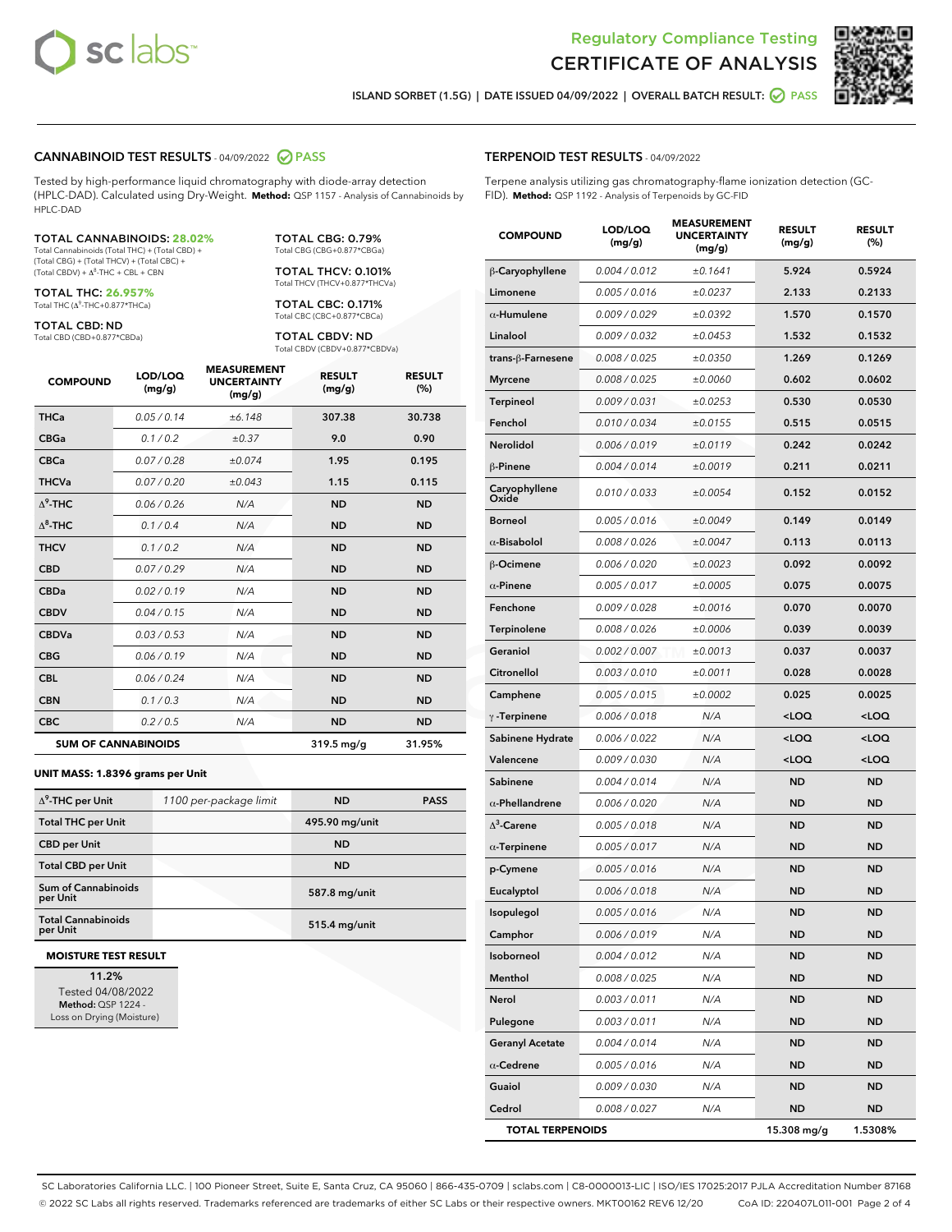



ISLAND SORBET (1.5G) | DATE ISSUED 04/09/2022 | OVERALL BATCH RESULT: **● PASS** 

#### CANNABINOID TEST RESULTS - 04/09/2022 2 PASS

Tested by high-performance liquid chromatography with diode-array detection (HPLC-DAD). Calculated using Dry-Weight. **Method:** QSP 1157 - Analysis of Cannabinoids by HPLC-DAD

#### TOTAL CANNABINOIDS: **28.02%**

Total Cannabinoids (Total THC) + (Total CBD) + (Total CBG) + (Total THCV) + (Total CBC) +  $(Total$  CBDV) +  $\Delta$ <sup>8</sup>-THC + CBL + CBN

TOTAL THC: **26.957%** Total THC (Δ<sup>9</sup> -THC+0.877\*THCa)

TOTAL CBD: ND

Total CBD (CBD+0.877\*CBDa)

TOTAL CBG: 0.79% Total CBG (CBG+0.877\*CBGa)

TOTAL THCV: 0.101% Total THCV (THCV+0.877\*THCVa)

TOTAL CBC: 0.171% Total CBC (CBC+0.877\*CBCa)

TOTAL CBDV: ND Total CBDV (CBDV+0.877\*CBDVa)

| <b>COMPOUND</b>  | LOD/LOQ<br>(mg/g)          | <b>MEASUREMENT</b><br><b>UNCERTAINTY</b><br>(mg/g) | <b>RESULT</b><br>(mg/g) | <b>RESULT</b><br>(%) |
|------------------|----------------------------|----------------------------------------------------|-------------------------|----------------------|
| <b>THCa</b>      | 0.05/0.14                  | ±6.148                                             | 307.38                  | 30.738               |
| <b>CBGa</b>      | 0.1 / 0.2                  | $\pm 0.37$                                         | 9.0                     | 0.90                 |
| <b>CBCa</b>      | 0.07 / 0.28                | ±0.074                                             | 1.95                    | 0.195                |
| <b>THCVa</b>     | 0.07 / 0.20                | ±0.043                                             | 1.15                    | 0.115                |
| $\Lambda^9$ -THC | 0.06 / 0.26                | N/A                                                | <b>ND</b>               | <b>ND</b>            |
| $\Delta^8$ -THC  | 0.1/0.4                    | N/A                                                | <b>ND</b>               | <b>ND</b>            |
| <b>THCV</b>      | 0.1/0.2                    | N/A                                                | <b>ND</b>               | <b>ND</b>            |
| <b>CBD</b>       | 0.07/0.29                  | N/A                                                | <b>ND</b>               | <b>ND</b>            |
| <b>CBDa</b>      | 0.02/0.19                  | N/A                                                | <b>ND</b>               | <b>ND</b>            |
| <b>CBDV</b>      | 0.04 / 0.15                | N/A                                                | <b>ND</b>               | <b>ND</b>            |
| <b>CBDVa</b>     | 0.03 / 0.53                | N/A                                                | <b>ND</b>               | <b>ND</b>            |
| <b>CBG</b>       | 0.06/0.19                  | N/A                                                | <b>ND</b>               | <b>ND</b>            |
| <b>CBL</b>       | 0.06 / 0.24                | N/A                                                | <b>ND</b>               | <b>ND</b>            |
| <b>CBN</b>       | 0.1/0.3                    | N/A                                                | <b>ND</b>               | <b>ND</b>            |
| <b>CBC</b>       | 0.2 / 0.5                  | N/A                                                | <b>ND</b>               | <b>ND</b>            |
|                  | <b>SUM OF CANNABINOIDS</b> |                                                    | $319.5$ mg/g            | 31.95%               |

#### **UNIT MASS: 1.8396 grams per Unit**

| $\Delta^9$ -THC per Unit              | 1100 per-package limit | <b>ND</b>      | <b>PASS</b> |
|---------------------------------------|------------------------|----------------|-------------|
| <b>Total THC per Unit</b>             |                        | 495.90 mg/unit |             |
| <b>CBD</b> per Unit                   |                        | <b>ND</b>      |             |
| <b>Total CBD per Unit</b>             |                        | <b>ND</b>      |             |
| Sum of Cannabinoids<br>per Unit       |                        | 587.8 mg/unit  |             |
| <b>Total Cannabinoids</b><br>per Unit |                        | 515.4 mg/unit  |             |

#### **MOISTURE TEST RESULT**

11.2% Tested 04/08/2022 Method: QSP 1224 - Loss on Drying (Moisture)

| <b>TERPENOID TEST RESULTS - 04/09/2022</b> |  |
|--------------------------------------------|--|
|--------------------------------------------|--|

Terpene analysis utilizing gas chromatography-flame ionization detection (GC-FID). **Method:** QSP 1192 - Analysis of Terpenoids by GC-FID

| <b>COMPOUND</b>         | LOD/LOQ<br>(mg/g) | <b>MEASUREMENT</b><br><b>UNCERTAINTY</b><br>(mg/g) | <b>RESULT</b><br>(mg/g)                         | <b>RESULT</b><br>(%) |
|-------------------------|-------------------|----------------------------------------------------|-------------------------------------------------|----------------------|
| β-Caryophyllene         | 0.004 / 0.012     | ±0.1641                                            | 5.924                                           | 0.5924               |
| Limonene                | 0.005 / 0.016     | ±0.0237                                            | 2.133                                           | 0.2133               |
| $\alpha$ -Humulene      | 0.009/0.029       | ±0.0392                                            | 1.570                                           | 0.1570               |
| Linalool                | 0.009 / 0.032     | ±0.0453                                            | 1.532                                           | 0.1532               |
| trans-ß-Farnesene       | 0.008 / 0.025     | ±0.0350                                            | 1.269                                           | 0.1269               |
| <b>Myrcene</b>          | 0.008 / 0.025     | ±0.0060                                            | 0.602                                           | 0.0602               |
| <b>Terpineol</b>        | 0.009 / 0.031     | ±0.0253                                            | 0.530                                           | 0.0530               |
| Fenchol                 | 0.010 / 0.034     | ±0.0155                                            | 0.515                                           | 0.0515               |
| Nerolidol               | 0.006 / 0.019     | ±0.0119                                            | 0.242                                           | 0.0242               |
| β-Pinene                | 0.004 / 0.014     | ±0.0019                                            | 0.211                                           | 0.0211               |
| Caryophyllene<br>Oxide  | 0.010 / 0.033     | ±0.0054                                            | 0.152                                           | 0.0152               |
| <b>Borneol</b>          | 0.005 / 0.016     | ±0.0049                                            | 0.149                                           | 0.0149               |
| $\alpha$ -Bisabolol     | 0.008 / 0.026     | ±0.0047                                            | 0.113                                           | 0.0113               |
| <b>B-Ocimene</b>        | 0.006 / 0.020     | ±0.0023                                            | 0.092                                           | 0.0092               |
| $\alpha$ -Pinene        | 0.005 / 0.017     | ±0.0005                                            | 0.075                                           | 0.0075               |
| Fenchone                | 0.009 / 0.028     | ±0.0016                                            | 0.070                                           | 0.0070               |
| <b>Terpinolene</b>      | 0.008 / 0.026     | ±0.0006                                            | 0.039                                           | 0.0039               |
| Geraniol                | 0.002 / 0.007     | ±0.0013                                            | 0.037                                           | 0.0037               |
| Citronellol             | 0.003 / 0.010     | ±0.0011                                            | 0.028                                           | 0.0028               |
| Camphene                | 0.005 / 0.015     | ±0.0002                                            | 0.025                                           | 0.0025               |
| $\gamma$ -Terpinene     | 0.006 / 0.018     | N/A                                                | $<$ LOQ                                         | $<$ LOQ              |
| Sabinene Hydrate        | 0.006 / 0.022     | N/A                                                | <loq< th=""><th><loq< th=""></loq<></th></loq<> | <loq< th=""></loq<>  |
| Valencene               | 0.009 / 0.030     | N/A                                                | <loq< th=""><th><loq< th=""></loq<></th></loq<> | <loq< th=""></loq<>  |
| Sabinene                | 0.004 / 0.014     | N/A                                                | ND                                              | <b>ND</b>            |
| $\alpha$ -Phellandrene  | 0.006 / 0.020     | N/A                                                | ND                                              | <b>ND</b>            |
| $\Delta^3$ -Carene      | 0.005 / 0.018     | N/A                                                | <b>ND</b>                                       | ND                   |
| $\alpha$ -Terpinene     | 0.005 / 0.017     | N/A                                                | ND                                              | <b>ND</b>            |
| p-Cymene                | 0.005 / 0.016     | N/A                                                | ND                                              | <b>ND</b>            |
| Eucalyptol              | 0.006 / 0.018     | N/A                                                | ND                                              | ND                   |
| Isopulegol              | 0.005 / 0.016     | N/A                                                | <b>ND</b>                                       | <b>ND</b>            |
| Camphor                 | 0.006 / 0.019     | N/A                                                | ND                                              | <b>ND</b>            |
| Isoborneol              | 0.004 / 0.012     | N/A                                                | ND                                              | <b>ND</b>            |
| Menthol                 | 0.008 / 0.025     | N/A                                                | <b>ND</b>                                       | <b>ND</b>            |
| Nerol                   | 0.003 / 0.011     | N/A                                                | <b>ND</b>                                       | <b>ND</b>            |
| Pulegone                | 0.003 / 0.011     | N/A                                                | ND                                              | ND                   |
| <b>Geranyl Acetate</b>  | 0.004 / 0.014     | N/A                                                | ND                                              | ND                   |
| $\alpha$ -Cedrene       | 0.005 / 0.016     | N/A                                                | <b>ND</b>                                       | <b>ND</b>            |
| Guaiol                  | 0.009 / 0.030     | N/A                                                | ND                                              | ND                   |
| Cedrol                  | 0.008 / 0.027     | N/A                                                | <b>ND</b>                                       | ND                   |
| <b>TOTAL TERPENOIDS</b> |                   |                                                    | 15.308 mg/g                                     | 1.5308%              |

SC Laboratories California LLC. | 100 Pioneer Street, Suite E, Santa Cruz, CA 95060 | 866-435-0709 | sclabs.com | C8-0000013-LIC | ISO/IES 17025:2017 PJLA Accreditation Number 87168 © 2022 SC Labs all rights reserved. Trademarks referenced are trademarks of either SC Labs or their respective owners. MKT00162 REV6 12/20 CoA ID: 220407L011-001 Page 2 of 4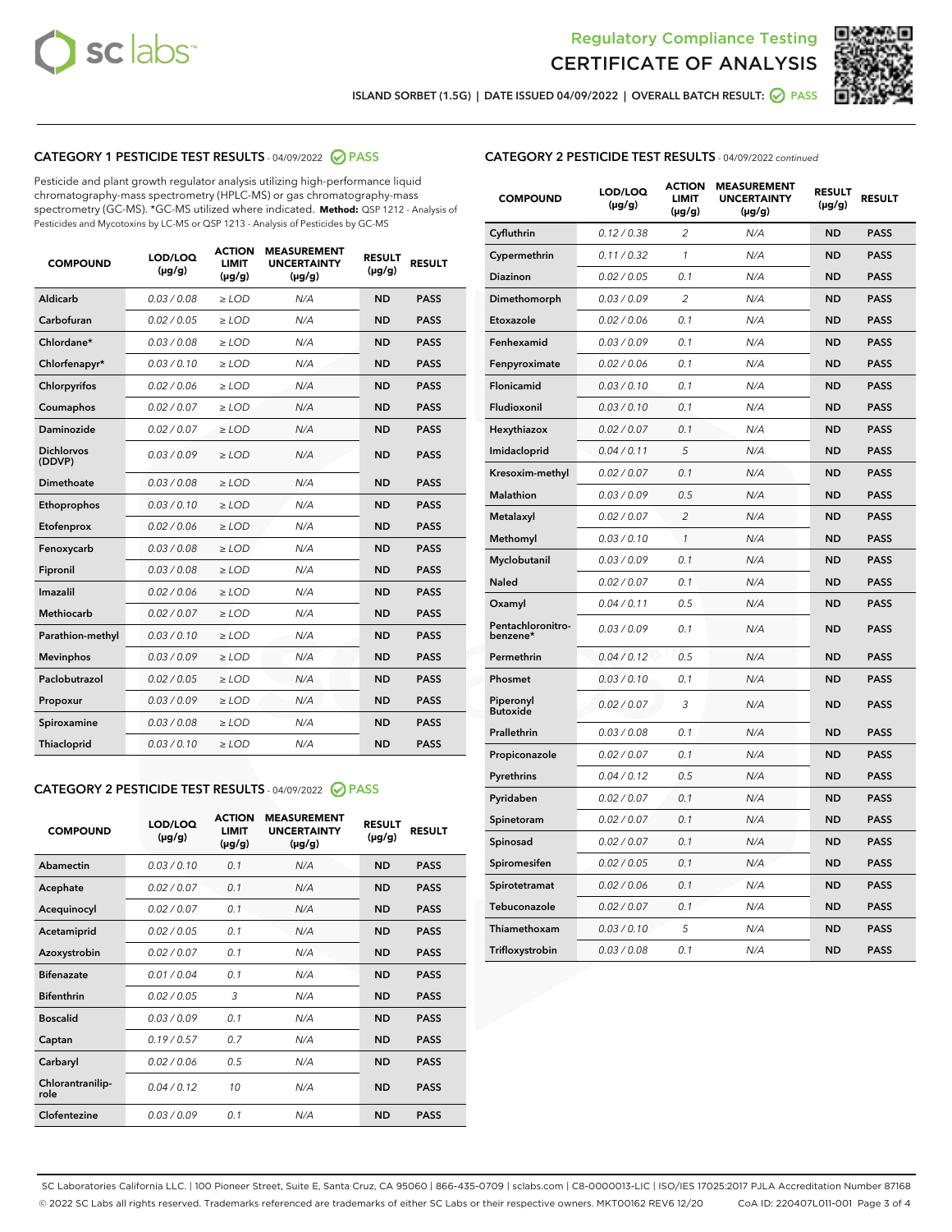



ISLAND SORBET (1.5G) | DATE ISSUED 04/09/2022 | OVERALL BATCH RESULT: ☑ PASS

# CATEGORY 1 PESTICIDE TEST RESULTS - 04/09/2022 2 PASS

Pesticide and plant growth regulator analysis utilizing high-performance liquid chromatography-mass spectrometry (HPLC-MS) or gas chromatography-mass spectrometry (GC-MS). \*GC-MS utilized where indicated. **Method:** QSP 1212 - Analysis of Pesticides and Mycotoxins by LC-MS or QSP 1213 - Analysis of Pesticides by GC-MS

| <b>COMPOUND</b>             | LOD/LOQ<br>$(\mu g/g)$ | <b>ACTION</b><br><b>LIMIT</b><br>$(\mu g/g)$ | <b>MEASUREMENT</b><br><b>UNCERTAINTY</b><br>$(\mu g/g)$ | <b>RESULT</b><br>$(\mu g/g)$ | <b>RESULT</b> |
|-----------------------------|------------------------|----------------------------------------------|---------------------------------------------------------|------------------------------|---------------|
| Aldicarb                    | 0.03 / 0.08            | $\ge$ LOD                                    | N/A                                                     | <b>ND</b>                    | <b>PASS</b>   |
| Carbofuran                  | 0.02 / 0.05            | $>$ LOD                                      | N/A                                                     | <b>ND</b>                    | <b>PASS</b>   |
| Chlordane*                  | 0.03/0.08              | $\ge$ LOD                                    | N/A                                                     | <b>ND</b>                    | <b>PASS</b>   |
| Chlorfenapyr*               | 0.03/0.10              | $\ge$ LOD                                    | N/A                                                     | <b>ND</b>                    | <b>PASS</b>   |
| Chlorpyrifos                | 0.02/0.06              | $\ge$ LOD                                    | N/A                                                     | <b>ND</b>                    | <b>PASS</b>   |
| Coumaphos                   | 0.02 / 0.07            | $\geq$ LOD                                   | N/A                                                     | <b>ND</b>                    | <b>PASS</b>   |
| Daminozide                  | 0.02 / 0.07            | $>$ LOD                                      | N/A                                                     | <b>ND</b>                    | <b>PASS</b>   |
| <b>Dichlorvos</b><br>(DDVP) | 0.03 / 0.09            | $\ge$ LOD                                    | N/A                                                     | <b>ND</b>                    | <b>PASS</b>   |
| Dimethoate                  | 0.03/0.08              | $>$ LOD                                      | N/A                                                     | <b>ND</b>                    | <b>PASS</b>   |
| Ethoprophos                 | 0.03/0.10              | $>$ LOD                                      | N/A                                                     | <b>ND</b>                    | <b>PASS</b>   |
| Etofenprox                  | 0.02 / 0.06            | $\ge$ LOD                                    | N/A                                                     | <b>ND</b>                    | <b>PASS</b>   |
| Fenoxycarb                  | 0.03 / 0.08            | $\ge$ LOD                                    | N/A                                                     | <b>ND</b>                    | <b>PASS</b>   |
| Fipronil                    | 0.03 / 0.08            | $\ge$ LOD                                    | N/A                                                     | <b>ND</b>                    | <b>PASS</b>   |
| Imazalil                    | 0.02 / 0.06            | $>$ LOD                                      | N/A                                                     | <b>ND</b>                    | <b>PASS</b>   |
| <b>Methiocarb</b>           | 0.02 / 0.07            | $\ge$ LOD                                    | N/A                                                     | <b>ND</b>                    | <b>PASS</b>   |
| Parathion-methyl            | 0.03/0.10              | $\ge$ LOD                                    | N/A                                                     | <b>ND</b>                    | <b>PASS</b>   |
| <b>Mevinphos</b>            | 0.03/0.09              | $\ge$ LOD                                    | N/A                                                     | <b>ND</b>                    | <b>PASS</b>   |
| Paclobutrazol               | 0.02 / 0.05            | $\ge$ LOD                                    | N/A                                                     | <b>ND</b>                    | <b>PASS</b>   |
| Propoxur                    | 0.03/0.09              | $>$ LOD                                      | N/A                                                     | <b>ND</b>                    | <b>PASS</b>   |
| Spiroxamine                 | 0.03 / 0.08            | $>$ LOD                                      | N/A                                                     | <b>ND</b>                    | <b>PASS</b>   |
| Thiacloprid                 | 0.03/0.10              | $>$ LOD                                      | N/A                                                     | <b>ND</b>                    | <b>PASS</b>   |
|                             |                        |                                              |                                                         |                              |               |

# CATEGORY 2 PESTICIDE TEST RESULTS - 04/09/2022 @ PASS

| <b>COMPOUND</b>          | LOD/LOQ<br>$(\mu g/g)$ | <b>ACTION</b><br><b>LIMIT</b><br>$(\mu g/g)$ | <b>MEASUREMENT</b><br><b>UNCERTAINTY</b><br>$(\mu g/g)$ | <b>RESULT</b><br>$(\mu g/g)$ | <b>RESULT</b> |
|--------------------------|------------------------|----------------------------------------------|---------------------------------------------------------|------------------------------|---------------|
| Abamectin                | 0.03/0.10              | 0.1                                          | N/A                                                     | <b>ND</b>                    | <b>PASS</b>   |
| Acephate                 | 0.02/0.07              | 0.1                                          | N/A                                                     | <b>ND</b>                    | <b>PASS</b>   |
| Acequinocyl              | 0.02/0.07              | 0.1                                          | N/A                                                     | <b>ND</b>                    | <b>PASS</b>   |
| Acetamiprid              | 0.02/0.05              | 0.1                                          | N/A                                                     | <b>ND</b>                    | <b>PASS</b>   |
| Azoxystrobin             | 0.02 / 0.07            | 0.1                                          | N/A                                                     | <b>ND</b>                    | <b>PASS</b>   |
| <b>Bifenazate</b>        | 0.01/0.04              | 0.1                                          | N/A                                                     | <b>ND</b>                    | <b>PASS</b>   |
| <b>Bifenthrin</b>        | 0.02 / 0.05            | 3                                            | N/A                                                     | <b>ND</b>                    | <b>PASS</b>   |
| <b>Boscalid</b>          | 0.03/0.09              | 0.1                                          | N/A                                                     | <b>ND</b>                    | <b>PASS</b>   |
| Captan                   | 0.19/0.57              | 0.7                                          | N/A                                                     | <b>ND</b>                    | <b>PASS</b>   |
| Carbaryl                 | 0.02/0.06              | 0.5                                          | N/A                                                     | <b>ND</b>                    | <b>PASS</b>   |
| Chlorantranilip-<br>role | 0.04/0.12              | 10                                           | N/A                                                     | <b>ND</b>                    | <b>PASS</b>   |
| Clofentezine             | 0.03/0.09              | 0.1                                          | N/A                                                     | <b>ND</b>                    | <b>PASS</b>   |

### CATEGORY 2 PESTICIDE TEST RESULTS - 04/09/2022 continued

| <b>COMPOUND</b>               | LOD/LOQ<br>(µg/g) | <b>ACTION</b><br><b>LIMIT</b><br>(µg/g) | <b>MEASUREMENT</b><br><b>UNCERTAINTY</b><br>$(\mu g/g)$ | <b>RESULT</b><br>(µg/g) | <b>RESULT</b> |
|-------------------------------|-------------------|-----------------------------------------|---------------------------------------------------------|-------------------------|---------------|
| Cyfluthrin                    | 0.12 / 0.38       | $\overline{c}$                          | N/A                                                     | <b>ND</b>               | <b>PASS</b>   |
| Cypermethrin                  | 0.11 / 0.32       | 1                                       | N/A                                                     | <b>ND</b>               | <b>PASS</b>   |
| <b>Diazinon</b>               | 0.02 / 0.05       | 0.1                                     | N/A                                                     | <b>ND</b>               | <b>PASS</b>   |
| Dimethomorph                  | 0.03 / 0.09       | $\overline{2}$                          | N/A                                                     | <b>ND</b>               | <b>PASS</b>   |
| Etoxazole                     | 0.02 / 0.06       | 0.1                                     | N/A                                                     | <b>ND</b>               | <b>PASS</b>   |
| Fenhexamid                    | 0.03 / 0.09       | 0.1                                     | N/A                                                     | <b>ND</b>               | <b>PASS</b>   |
| Fenpyroximate                 | 0.02 / 0.06       | 0.1                                     | N/A                                                     | <b>ND</b>               | <b>PASS</b>   |
| Flonicamid                    | 0.03 / 0.10       | 0.1                                     | N/A                                                     | <b>ND</b>               | <b>PASS</b>   |
| Fludioxonil                   | 0.03 / 0.10       | 0.1                                     | N/A                                                     | <b>ND</b>               | <b>PASS</b>   |
| Hexythiazox                   | 0.02 / 0.07       | 0.1                                     | N/A                                                     | <b>ND</b>               | <b>PASS</b>   |
| Imidacloprid                  | 0.04 / 0.11       | 5                                       | N/A                                                     | <b>ND</b>               | <b>PASS</b>   |
| Kresoxim-methyl               | 0.02 / 0.07       | 0.1                                     | N/A                                                     | <b>ND</b>               | <b>PASS</b>   |
| Malathion                     | 0.03 / 0.09       | 0.5                                     | N/A                                                     | <b>ND</b>               | <b>PASS</b>   |
| Metalaxyl                     | 0.02 / 0.07       | $\overline{c}$                          | N/A                                                     | <b>ND</b>               | <b>PASS</b>   |
| Methomyl                      | 0.03 / 0.10       | 1                                       | N/A                                                     | <b>ND</b>               | <b>PASS</b>   |
| Myclobutanil                  | 0.03 / 0.09       | 0.1                                     | N/A                                                     | <b>ND</b>               | <b>PASS</b>   |
| <b>Naled</b>                  | 0.02 / 0.07       | 0.1                                     | N/A                                                     | <b>ND</b>               | <b>PASS</b>   |
| Oxamyl                        | 0.04 / 0.11       | 0.5                                     | N/A                                                     | <b>ND</b>               | <b>PASS</b>   |
| Pentachloronitro-<br>benzene* | 0.03 / 0.09       | 0.1                                     | N/A                                                     | <b>ND</b>               | <b>PASS</b>   |
| Permethrin                    | 0.04 / 0.12       | 0.5                                     | N/A                                                     | <b>ND</b>               | <b>PASS</b>   |
| Phosmet                       | 0.03 / 0.10       | 0.1                                     | N/A                                                     | <b>ND</b>               | <b>PASS</b>   |
| Piperonyl<br><b>Butoxide</b>  | 0.02 / 0.07       | 3                                       | N/A                                                     | <b>ND</b>               | <b>PASS</b>   |
| Prallethrin                   | 0.03 / 0.08       | 0.1                                     | N/A                                                     | <b>ND</b>               | <b>PASS</b>   |
| Propiconazole                 | 0.02 / 0.07       | 0.1                                     | N/A                                                     | <b>ND</b>               | <b>PASS</b>   |
| Pyrethrins                    | 0.04 / 0.12       | 0.5                                     | N/A                                                     | <b>ND</b>               | <b>PASS</b>   |
| Pyridaben                     | 0.02 / 0.07       | 0.1                                     | N/A                                                     | <b>ND</b>               | <b>PASS</b>   |
| Spinetoram                    | 0.02 / 0.07       | 0.1                                     | N/A                                                     | <b>ND</b>               | <b>PASS</b>   |
| Spinosad                      | 0.02 / 0.07       | 0.1                                     | N/A                                                     | <b>ND</b>               | <b>PASS</b>   |
| Spiromesifen                  | 0.02 / 0.05       | 0.1                                     | N/A                                                     | <b>ND</b>               | <b>PASS</b>   |
| Spirotetramat                 | 0.02 / 0.06       | 0.1                                     | N/A                                                     | <b>ND</b>               | <b>PASS</b>   |
| Tebuconazole                  | 0.02 / 0.07       | 0.1                                     | N/A                                                     | <b>ND</b>               | <b>PASS</b>   |
| Thiamethoxam                  | 0.03 / 0.10       | 5                                       | N/A                                                     | <b>ND</b>               | <b>PASS</b>   |
| Trifloxystrobin               | 0.03 / 0.08       | 0.1                                     | N/A                                                     | <b>ND</b>               | <b>PASS</b>   |

SC Laboratories California LLC. | 100 Pioneer Street, Suite E, Santa Cruz, CA 95060 | 866-435-0709 | sclabs.com | C8-0000013-LIC | ISO/IES 17025:2017 PJLA Accreditation Number 87168 © 2022 SC Labs all rights reserved. Trademarks referenced are trademarks of either SC Labs or their respective owners. MKT00162 REV6 12/20 CoA ID: 220407L011-001 Page 3 of 4